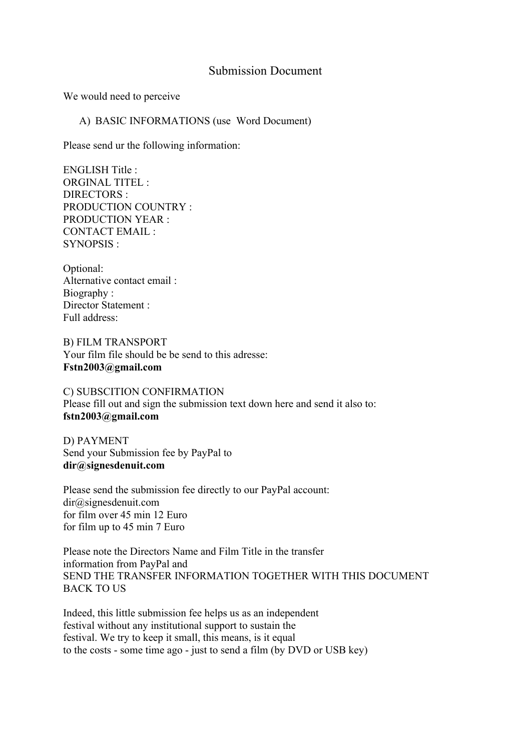# Submission Document

We would need to perceive

### A) BASIC INFORMATIONS (use Word Document)

Please send ur the following information:

ENGLISH Title : ORGINAL TITEL : DIRECTORS · PRODUCTION COUNTRY : PRODUCTION YEAR : CONTACT EMAIL : SYNOPSIS :

Optional: Alternative contact email : Biography : Director Statement : Full address:

B) FILM TRANSPORT Your film file should be be send to this adresse: **Fstn2003@gmail.com**

C) SUBSCITION CONFIRMATION Please fill out and sign the submission text down here and send it also to: **fstn2003@gmail.com**

D) PAYMENT Send your Submission fee by PayPal to **dir@signesdenuit.com**

Please send the submission fee directly to our PayPal account: dir@signesdenuit.com for film over 45 min 12 Euro for film up to 45 min 7 Euro

Please note the Directors Name and Film Title in the transfer information from PayPal and SEND THE TRANSFER INFORMATION TOGETHER WITH THIS DOCUMENT BACK TO US

Indeed, this little submission fee helps us as an independent festival without any institutional support to sustain the festival. We try to keep it small, this means, is it equal to the costs - some time ago - just to send a film (by DVD or USB key)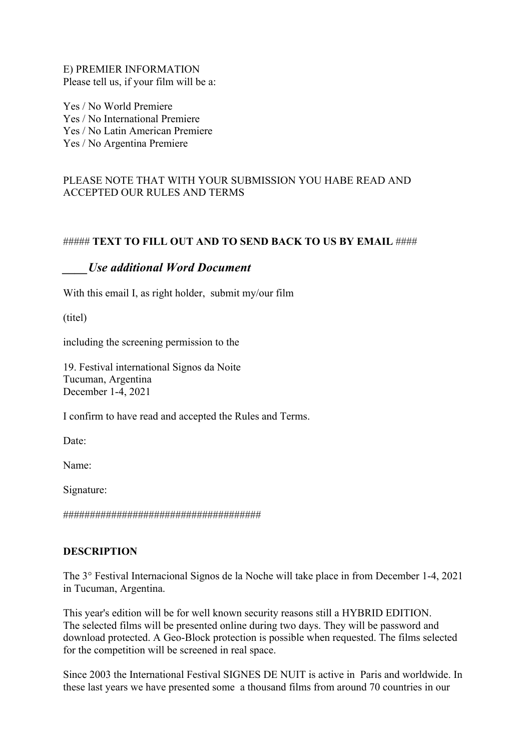E) PREMIER INFORMATION Please tell us, if your film will be a:

Yes / No World Premiere Yes / No International Premiere Yes / No Latin American Premiere Yes / No Argentina Premiere

# PLEASE NOTE THAT WITH YOUR SUBMISSION YOU HABE READ AND ACCEPTED OUR RULES AND TERMS

## ##### **TEXT TO FILL OUT AND TO SEND BACK TO US BY EMAIL** ####

## *\_\_\_\_Use additional Word Document*

With this email I, as right holder, submit my/our film

(titel)

including the screening permission to the

19. Festival international Signos da Noite Tucuman, Argentina December 1-4, 2021

I confirm to have read and accepted the Rules and Terms.

Date<sup>-</sup>

Name:

Signature:

#####################################

## **DESCRIPTION**

The 3° Festival Internacional Signos de la Noche will take place in from December 1-4, 2021 in Tucuman, Argentina.

This year's edition will be for well known security reasons still a HYBRID EDITION. The selected films will be presented online during two days. They will be password and download protected. A Geo-Block protection is possible when requested. The films selected for the competition will be screened in real space.

Since 2003 the International Festival SIGNES DE NUIT is active in Paris and worldwide. In these last years we have presented some a thousand films from around 70 countries in our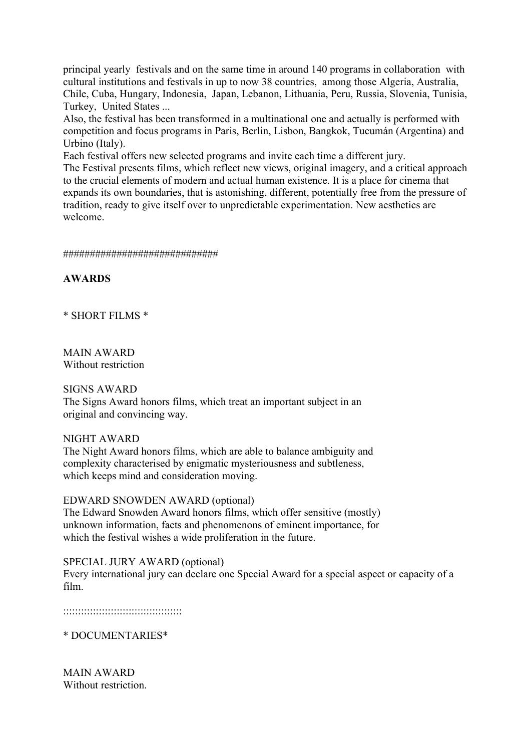principal yearly festivals and on the same time in around 140 programs in collaboration with cultural institutions and festivals in up to now 38 countries, among those Algeria, Australia, Chile, Cuba, Hungary, Indonesia, Japan, Lebanon, Lithuania, Peru, Russia, Slovenia, Tunisia, Turkey, United States ...

Also, the festival has been transformed in a multinational one and actually is performed with competition and focus programs in Paris, Berlin, Lisbon, Bangkok, Tucumán (Argentina) and Urbino (Italy).

Each festival offers new selected programs and invite each time a different jury.

The Festival presents films, which reflect new views, original imagery, and a critical approach to the crucial elements of modern and actual human existence. It is a place for cinema that expands its own boundaries, that is astonishing, different, potentially free from the pressure of tradition, ready to give itself over to unpredictable experimentation. New aesthetics are welcome.

#### #############################

**AWARDS**

\* SHORT FILMS \*

MAIN AWARD Without restriction

#### SIGNS AWARD

The Signs Award honors films, which treat an important subject in an original and convincing way.

## NIGHT AWARD

The Night Award honors films, which are able to balance ambiguity and complexity characterised by enigmatic mysteriousness and subtleness, which keeps mind and consideration moving.

#### EDWARD SNOWDEN AWARD (optional)

The Edward Snowden Award honors films, which offer sensitive (mostly) unknown information, facts and phenomenons of eminent importance, for which the festival wishes a wide proliferation in the future.

SPECIAL JURY AWARD (optional) Every international jury can declare one Special Award for a special aspect or capacity of a film.

::::::::::::::::::::::::::::::::::::::::

\* DOCUMENTARIES\*

MAIN AWARD Without restriction.